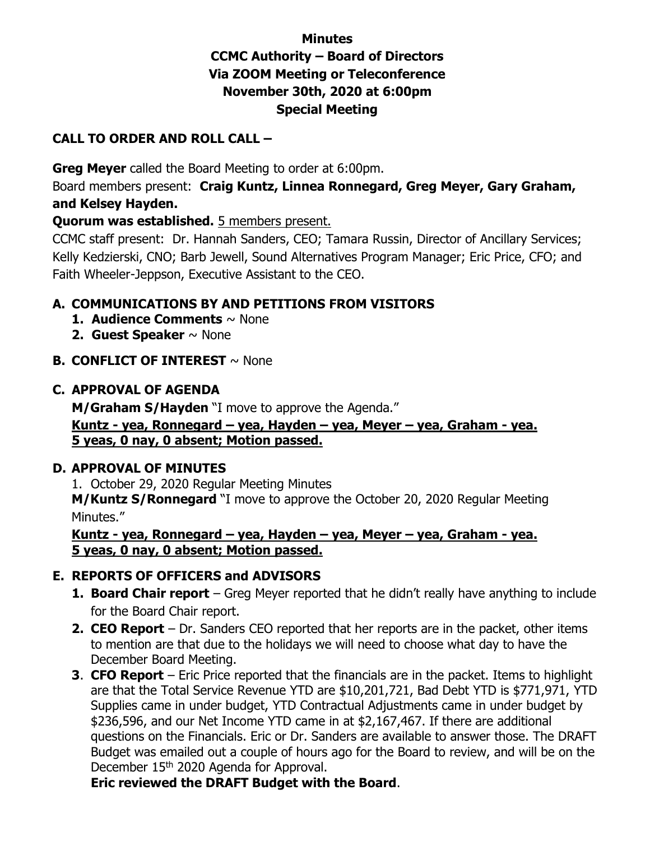# **Minutes CCMC Authority – Board of Directors Via ZOOM Meeting or Teleconference November 30th, 2020 at 6:00pm Special Meeting**

### **CALL TO ORDER AND ROLL CALL –**

**Greg Meyer** called the Board Meeting to order at 6:00pm.

Board members present: **Craig Kuntz, Linnea Ronnegard, Greg Meyer, Gary Graham, and Kelsey Hayden.** 

#### **Quorum was established.** 5 members present.

CCMC staff present: Dr. Hannah Sanders, CEO; Tamara Russin, Director of Ancillary Services; Kelly Kedzierski, CNO; Barb Jewell, Sound Alternatives Program Manager; Eric Price, CFO; and Faith Wheeler-Jeppson, Executive Assistant to the CEO.

## **A. COMMUNICATIONS BY AND PETITIONS FROM VISITORS**

- **1. Audience Comments** ~ None
- **2. Guest Speaker** ~ None
- **B. CONFLICT OF INTEREST** ~ None

#### **C. APPROVAL OF AGENDA**

**M/Graham S/Hayden** "I move to approve the Agenda." **Kuntz - yea, Ronnegard – yea, Hayden – yea, Meyer – yea, Graham - yea. 5 yeas, 0 nay, 0 absent; Motion passed.** 

#### **D. APPROVAL OF MINUTES**

1. October 29, 2020 Regular Meeting Minutes **M/Kuntz S/Ronnegard** "I move to approve the October 20, 2020 Regular Meeting Minutes."

**Kuntz - yea, Ronnegard – yea, Hayden – yea, Meyer – yea, Graham - yea. 5 yeas, 0 nay, 0 absent; Motion passed.** 

#### **E. REPORTS OF OFFICERS and ADVISORS**

- **1. Board Chair report** Greg Meyer reported that he didn't really have anything to include for the Board Chair report.
- **2. CEO Report** Dr. Sanders CEO reported that her reports are in the packet, other items to mention are that due to the holidays we will need to choose what day to have the December Board Meeting.
- **3**. **CFO Report** Eric Price reported that the financials are in the packet. Items to highlight are that the Total Service Revenue YTD are \$10,201,721, Bad Debt YTD is \$771,971, YTD Supplies came in under budget, YTD Contractual Adjustments came in under budget by \$236,596, and our Net Income YTD came in at \$2,167,467. If there are additional questions on the Financials. Eric or Dr. Sanders are available to answer those. The DRAFT Budget was emailed out a couple of hours ago for the Board to review, and will be on the December 15<sup>th</sup> 2020 Agenda for Approval.

 **Eric reviewed the DRAFT Budget with the Board**.